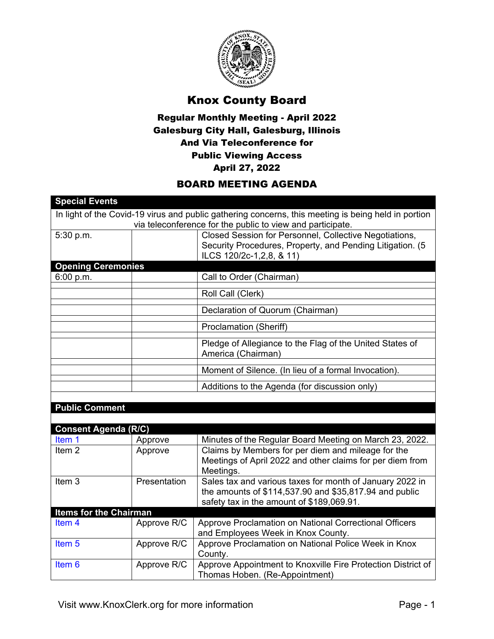

## Knox County Board

## Regular Monthly Meeting - April 2022 Galesburg City Hall, Galesburg, Illinois And Via Teleconference for Public Viewing Access April 27, 2022

## BOARD MEETING AGENDA

| <b>Special Events</b>         |              |                                                                                                                                                                 |
|-------------------------------|--------------|-----------------------------------------------------------------------------------------------------------------------------------------------------------------|
|                               |              | In light of the Covid-19 virus and public gathering concerns, this meeting is being held in portion                                                             |
|                               |              | via teleconference for the public to view and participate.                                                                                                      |
| 5:30 p.m.                     |              | Closed Session for Personnel, Collective Negotiations,<br>Security Procedures, Property, and Pending Litigation. (5<br>ILCS 120/2c-1, 2, 8, & 11)               |
| <b>Opening Ceremonies</b>     |              |                                                                                                                                                                 |
| 6:00 p.m.                     |              | Call to Order (Chairman)                                                                                                                                        |
|                               |              | Roll Call (Clerk)                                                                                                                                               |
|                               |              | Declaration of Quorum (Chairman)                                                                                                                                |
|                               |              | <b>Proclamation (Sheriff)</b>                                                                                                                                   |
|                               |              | Pledge of Allegiance to the Flag of the United States of<br>America (Chairman)                                                                                  |
|                               |              | Moment of Silence. (In lieu of a formal Invocation).                                                                                                            |
|                               |              | Additions to the Agenda (for discussion only)                                                                                                                   |
|                               |              |                                                                                                                                                                 |
| <b>Public Comment</b>         |              |                                                                                                                                                                 |
|                               |              |                                                                                                                                                                 |
| <b>Consent Agenda (R/C)</b>   |              |                                                                                                                                                                 |
| Item 1                        | Approve      | Minutes of the Regular Board Meeting on March 23, 2022.                                                                                                         |
| Item <sub>2</sub>             | Approve      | Claims by Members for per diem and mileage for the<br>Meetings of April 2022 and other claims for per diem from<br>Meetings.                                    |
| Item <sub>3</sub>             | Presentation | Sales tax and various taxes for month of January 2022 in<br>the amounts of \$114,537.90 and \$35,817.94 and public<br>safety tax in the amount of \$189,069.91. |
| <b>Items for the Chairman</b> |              |                                                                                                                                                                 |
| Item <sub>4</sub>             | Approve R/C  | Approve Proclamation on National Correctional Officers<br>and Employees Week in Knox County.                                                                    |
| Item <sub>5</sub>             | Approve R/C  | Approve Proclamation on National Police Week in Knox<br>County.                                                                                                 |
| Item <sub>6</sub>             | Approve R/C  | Approve Appointment to Knoxville Fire Protection District of<br>Thomas Hoben. (Re-Appointment)                                                                  |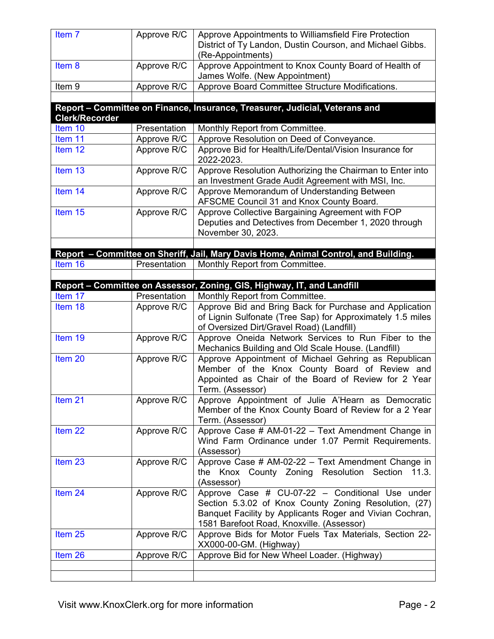| Item 7                | Approve R/C  | Approve Appointments to Williamsfield Fire Protection<br>District of Ty Landon, Dustin Courson, and Michael Gibbs.<br>(Re-Appointments)                                                                           |
|-----------------------|--------------|-------------------------------------------------------------------------------------------------------------------------------------------------------------------------------------------------------------------|
| Item 8                | Approve R/C  | Approve Appointment to Knox County Board of Health of<br>James Wolfe. (New Appointment)                                                                                                                           |
| Item 9                | Approve R/C  | Approve Board Committee Structure Modifications.                                                                                                                                                                  |
|                       |              | Report - Committee on Finance, Insurance, Treasurer, Judicial, Veterans and                                                                                                                                       |
| <b>Clerk/Recorder</b> |              |                                                                                                                                                                                                                   |
| Item 10               | Presentation | Monthly Report from Committee.                                                                                                                                                                                    |
| Item 11               | Approve R/C  | Approve Resolution on Deed of Conveyance.                                                                                                                                                                         |
| Item 12               | Approve R/C  | Approve Bid for Health/Life/Dental/Vision Insurance for<br>2022-2023.                                                                                                                                             |
| Item 13               | Approve R/C  | Approve Resolution Authorizing the Chairman to Enter into<br>an Investment Grade Audit Agreement with MSI, Inc.                                                                                                   |
| Item 14               | Approve R/C  | Approve Memorandum of Understanding Between<br>AFSCME Council 31 and Knox County Board.                                                                                                                           |
| Item 15               | Approve R/C  | Approve Collective Bargaining Agreement with FOP                                                                                                                                                                  |
|                       |              | Deputies and Detectives from December 1, 2020 through<br>November 30, 2023.                                                                                                                                       |
|                       |              |                                                                                                                                                                                                                   |
|                       |              | Report - Committee on Sheriff, Jail, Mary Davis Home, Animal Control, and Building.                                                                                                                               |
| Item 16               | Presentation | Monthly Report from Committee.                                                                                                                                                                                    |
|                       |              |                                                                                                                                                                                                                   |
|                       |              | Report - Committee on Assessor, Zoning, GIS, Highway, IT, and Landfill                                                                                                                                            |
| Item 17               | Presentation | Monthly Report from Committee.                                                                                                                                                                                    |
| Item 18               | Approve R/C  | Approve Bid and Bring Back for Purchase and Application<br>of Lignin Sulfonate (Tree Sap) for Approximately 1.5 miles<br>of Oversized Dirt/Gravel Road) (Landfill)                                                |
| Item 19               | Approve R/C  | Approve Oneida Network Services to Run Fiber to the<br>Mechanics Building and Old Scale House. (Landfill)                                                                                                         |
| Item <sub>20</sub>    | Approve R/C  | Approve Appointment of Michael Gehring as Republican<br>Member of the Knox County Board of Review and<br>Appointed as Chair of the Board of Review for 2 Year<br>Term. (Assessor)                                 |
| Item 21               | Approve R/C  | Approve Appointment of Julie A'Hearn as Democratic<br>Member of the Knox County Board of Review for a 2 Year<br>Term. (Assessor)                                                                                  |
| Item <sub>22</sub>    | Approve R/C  | Approve Case # AM-01-22 - Text Amendment Change in<br>Wind Farm Ordinance under 1.07 Permit Requirements.<br>(Assessor)                                                                                           |
| Item 23               | Approve R/C  | Approve Case # AM-02-22 - Text Amendment Change in<br>the Knox County Zoning Resolution Section<br>11.3.<br>(Assessor)                                                                                            |
| Item 24               | Approve R/C  | Approve Case # CU-07-22 - Conditional Use under<br>Section 5.3.02 of Knox County Zoning Resolution, (27)<br>Banquet Facility by Applicants Roger and Vivian Cochran,<br>1581 Barefoot Road, Knoxville. (Assessor) |
| Item <sub>25</sub>    | Approve R/C  | Approve Bids for Motor Fuels Tax Materials, Section 22-<br>XX000-00-GM. (Highway)                                                                                                                                 |
| Item 26               | Approve R/C  | Approve Bid for New Wheel Loader. (Highway)                                                                                                                                                                       |
|                       |              |                                                                                                                                                                                                                   |
|                       |              |                                                                                                                                                                                                                   |